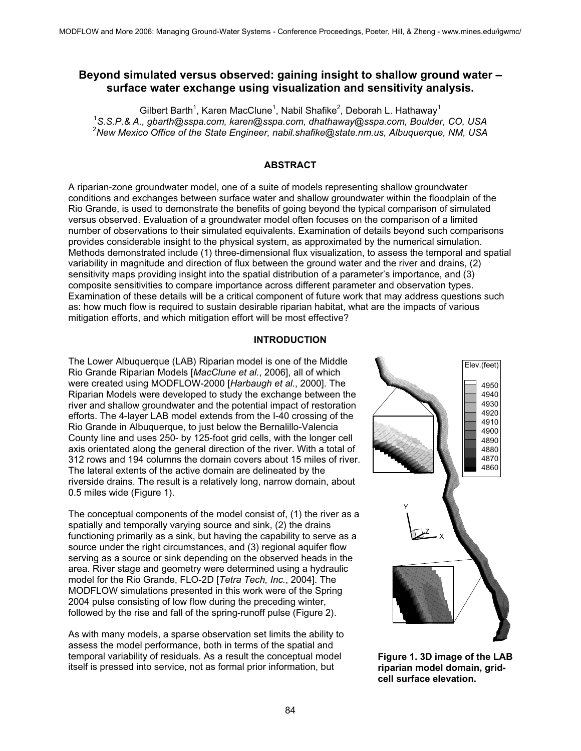## **Beyond simulated versus observed: gaining insight to shallow ground water – surface water exchange using visualization and sensitivity analysis.**

Gilbert Barth<sup>1</sup>, Karen MacClune<sup>1</sup>, Nabil Shafike<sup>2</sup>, Deborah L. Hathaway<sup>1</sup> 1 *S.S.P.& A., gbarth@sspa.com, karen@sspa.com, dhathaway@sspa.com, Boulder, CO, USA* <sup>2</sup> *New Mexico Office of the State Engineer, nabil.shafike@state.nm.us, Albuquerque, NM, USA* 

### **ABSTRACT**

A riparian-zone groundwater model, one of a suite of models representing shallow groundwater conditions and exchanges between surface water and shallow groundwater within the floodplain of the Rio Grande, is used to demonstrate the benefits of going beyond the typical comparison of simulated versus observed. Evaluation of a groundwater model often focuses on the comparison of a limited number of observations to their simulated equivalents. Examination of details beyond such comparisons provides considerable insight to the physical system, as approximated by the numerical simulation. Methods demonstrated include (1) three-dimensional flux visualization, to assess the temporal and spatial variability in magnitude and direction of flux between the ground water and the river and drains, (2) sensitivity maps providing insight into the spatial distribution of a parameter's importance, and (3) composite sensitivities to compare importance across different parameter and observation types. Examination of these details will be a critical component of future work that may address questions such as: how much flow is required to sustain desirable riparian habitat, what are the impacts of various mitigation efforts, and which mitigation effort will be most effective?

#### **INTRODUCTION**

The Lower Albuquerque (LAB) Riparian model is one of the Middle Rio Grande Riparian Models [*MacClune et al.*, 2006], all of which were created using MODFLOW-2000 [*Harbaugh et al.*, 2000]. The Riparian Models were developed to study the exchange between the river and shallow groundwater and the potential impact of restoration efforts. The 4-layer LAB model extends from the I-40 crossing of the Rio Grande in Albuquerque, to just below the Bernalillo-Valencia County line and uses 250- by 125-foot grid cells, with the longer cell axis orientated along the general direction of the river. With a total of 312 rows and 194 columns the domain covers about 15 miles of river. The lateral extents of the active domain are delineated by the riverside drains. The result is a relatively long, narrow domain, about 0.5 miles wide (Figure 1).

The conceptual components of the model consist of, (1) the river as a spatially and temporally varying source and sink, (2) the drains functioning primarily as a sink, but having the capability to serve as a source under the right circumstances, and (3) regional aquifer flow serving as a source or sink depending on the observed heads in the area. River stage and geometry were determined using a hydraulic model for the Rio Grande, FLO-2D [*Tetra Tech, Inc.*, 2004]. The MODFLOW simulations presented in this work were of the Spring 2004 pulse consisting of low flow during the preceding winter, followed by the rise and fall of the spring-runoff pulse (Figure 2).

As with many models, a sparse observation set limits the ability to assess the model performance, both in terms of the spatial and temporal variability of residuals. As a result the conceptual model itself is pressed into service, not as formal prior information, but



**Figure 1. 3D image of the LAB riparian model domain, gridcell surface elevation.**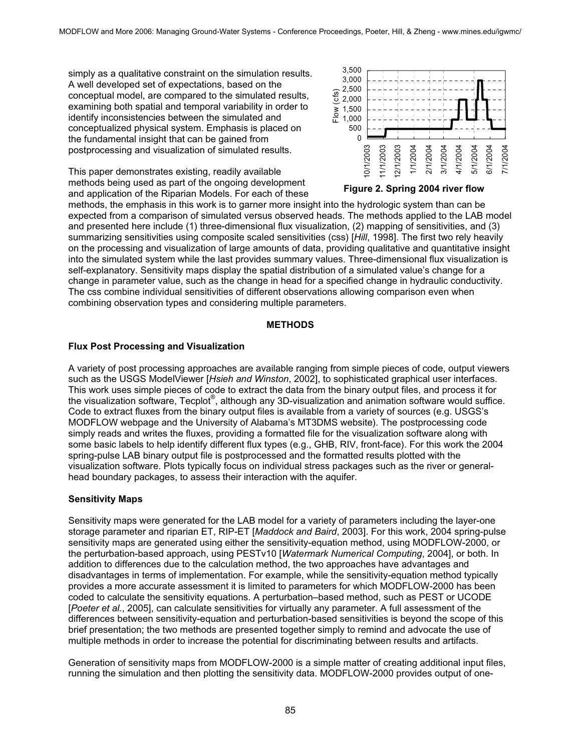simply as a qualitative constraint on the simulation results. A well developed set of expectations, based on the conceptual model, are compared to the simulated results, examining both spatial and temporal variability in order to identify inconsistencies between the simulated and conceptualized physical system. Emphasis is placed on the fundamental insight that can be gained from postprocessing and visualization of simulated results.

This paper demonstrates existing, readily available methods being used as part of the ongoing development and application of the Riparian Models. For each of these



#### **Figure 2. Spring 2004 river flow**

methods, the emphasis in this work is to garner more insight into the hydrologic system than can be expected from a comparison of simulated versus observed heads. The methods applied to the LAB model and presented here include (1) three-dimensional flux visualization, (2) mapping of sensitivities, and (3) summarizing sensitivities using composite scaled sensitivities (css) [*Hill*, 1998]. The first two rely heavily on the processing and visualization of large amounts of data, providing qualitative and quantitative insight into the simulated system while the last provides summary values. Three-dimensional flux visualization is self-explanatory. Sensitivity maps display the spatial distribution of a simulated value's change for a change in parameter value, such as the change in head for a specified change in hydraulic conductivity. The css combine individual sensitivities of different observations allowing comparison even when combining observation types and considering multiple parameters.

#### **METHODS**

#### **Flux Post Processing and Visualization**

A variety of post processing approaches are available ranging from simple pieces of code, output viewers such as the USGS ModelViewer [*Hsieh and Winston*, 2002], to sophisticated graphical user interfaces. This work uses simple pieces of code to extract the data from the binary output files, and process it for the visualization software, Tecplot®, although any 3D-visualization and animation software would suffice. Code to extract fluxes from the binary output files is available from a variety of sources (e.g. USGS's MODFLOW webpage and the University of Alabama's MT3DMS website). The postprocessing code simply reads and writes the fluxes, providing a formatted file for the visualization software along with some basic labels to help identify different flux types (e.g., GHB, RIV, front-face). For this work the 2004 spring-pulse LAB binary output file is postprocessed and the formatted results plotted with the visualization software. Plots typically focus on individual stress packages such as the river or generalhead boundary packages, to assess their interaction with the aquifer.

#### **Sensitivity Maps**

Sensitivity maps were generated for the LAB model for a variety of parameters including the layer-one storage parameter and riparian ET, RIP-ET [*Maddock and Baird*, 2003]. For this work, 2004 spring-pulse sensitivity maps are generated using either the sensitivity-equation method, using MODFLOW-2000, or the perturbation-based approach, using PESTv10 [*Watermark Numerical Computing*, 2004], or both. In addition to differences due to the calculation method, the two approaches have advantages and disadvantages in terms of implementation. For example, while the sensitivity-equation method typically provides a more accurate assessment it is limited to parameters for which MODFLOW-2000 has been coded to calculate the sensitivity equations. A perturbation–based method, such as PEST or UCODE [*Poeter et al.*, 2005], can calculate sensitivities for virtually any parameter. A full assessment of the differences between sensitivity-equation and perturbation-based sensitivities is beyond the scope of this brief presentation; the two methods are presented together simply to remind and advocate the use of multiple methods in order to increase the potential for discriminating between results and artifacts.

Generation of sensitivity maps from MODFLOW-2000 is a simple matter of creating additional input files, running the simulation and then plotting the sensitivity data. MODFLOW-2000 provides output of one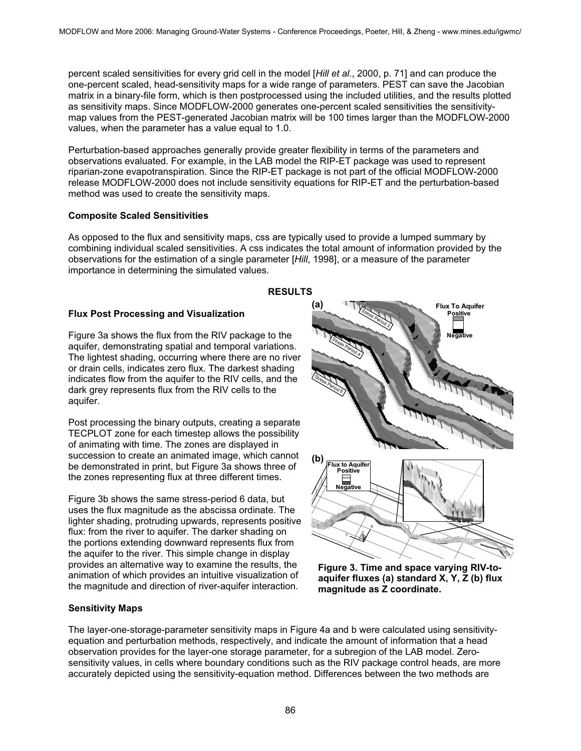percent scaled sensitivities for every grid cell in the model [*Hill et al.*, 2000, p. 71] and can produce the one-percent scaled, head-sensitivity maps for a wide range of parameters. PEST can save the Jacobian matrix in a binary-file form, which is then postprocessed using the included utilities, and the results plotted as sensitivity maps. Since MODFLOW-2000 generates one-percent scaled sensitivities the sensitivitymap values from the PEST-generated Jacobian matrix will be 100 times larger than the MODFLOW-2000 values, when the parameter has a value equal to 1.0.

Perturbation-based approaches generally provide greater flexibility in terms of the parameters and observations evaluated. For example, in the LAB model the RIP-ET package was used to represent riparian-zone evapotranspiration. Since the RIP-ET package is not part of the official MODFLOW-2000 release MODFLOW-2000 does not include sensitivity equations for RIP-ET and the perturbation-based method was used to create the sensitivity maps.

#### **Composite Scaled Sensitivities**

As opposed to the flux and sensitivity maps, css are typically used to provide a lumped summary by combining individual scaled sensitivities. A css indicates the total amount of information provided by the observations for the estimation of a single parameter [*Hill*, 1998], or a measure of the parameter importance in determining the simulated values.

**RESULTS** 

#### **Flux Post Processing and Visualization**

Figure 3a shows the flux from the RIV package to the aquifer, demonstrating spatial and temporal variations. The lightest shading, occurring where there are no river or drain cells, indicates zero flux. The darkest shading indicates flow from the aquifer to the RIV cells, and the dark grey represents flux from the RIV cells to the aquifer.

Post processing the binary outputs, creating a separate TECPLOT zone for each timestep allows the possibility of animating with time. The zones are displayed in succession to create an animated image, which cannot be demonstrated in print, but Figure 3a shows three of the zones representing flux at three different times.

Figure 3b shows the same stress-period 6 data, but uses the flux magnitude as the abscissa ordinate. The lighter shading, protruding upwards, represents positive flux: from the river to aquifer. The darker shading on the portions extending downward represents flux from the aquifer to the river. This simple change in display provides an alternative way to examine the results, the animation of which provides an intuitive visualization of the magnitude and direction of river-aquifer interaction.

# **(a) Flux To Aquifer** Stress Period 3 **Positive Negative** Stress Period 6 **(b) Flux to Aquifer Positive** ╾ -1 **Negative** X Y∠Z

**Figure 3. Time and space varying RIV-toaquifer fluxes (a) standard X, Y, Z (b) flux magnitude as Z coordinate.** 

#### **Sensitivity Maps**

The layer-one-storage-parameter sensitivity maps in Figure 4a and b were calculated using sensitivityequation and perturbation methods, respectively, and indicate the amount of information that a head observation provides for the layer-one storage parameter, for a subregion of the LAB model. Zerosensitivity values, in cells where boundary conditions such as the RIV package control heads, are more accurately depicted using the sensitivity-equation method. Differences between the two methods are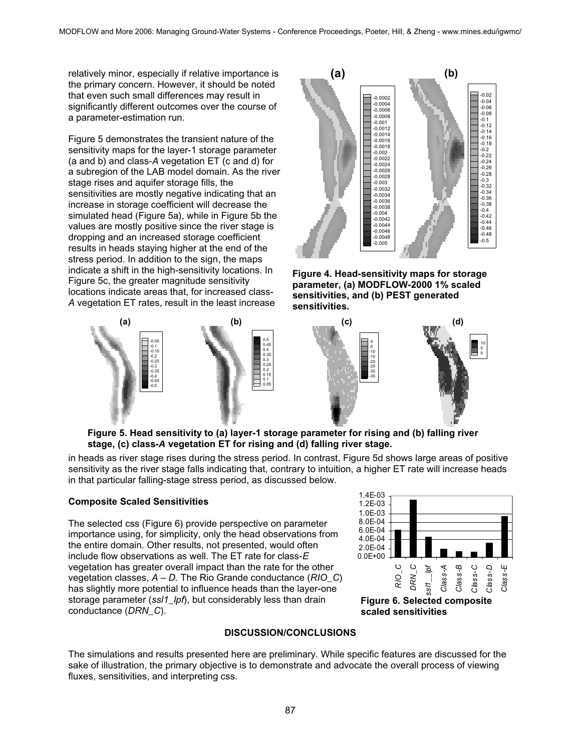relatively minor, especially if relative importance is the primary concern. However, it should be noted that even such small differences may result in significantly different outcomes over the course of a parameter-estimation run.

Figure 5 demonstrates the transient nature of the sensitivity maps for the layer-1 storage parameter (a and b) and class-*A* vegetation ET (c and d) for a subregion of the LAB model domain. As the river stage rises and aquifer storage fills, the sensitivities are mostly negative indicating that an increase in storage coefficient will decrease the simulated head (Figure 5a), while in Figure 5b the values are mostly positive since the river stage is dropping and an increased storage coefficient results in heads staying higher at the end of the stress period. In addition to the sign, the maps indicate a shift in the high-sensitivity locations. In Figure 5c, the greater magnitude sensitivity locations indicate areas that, for increased class-*A* vegetation ET rates, result in the least increase



**Figure 4. Head-sensitivity maps for storage parameter, (a) MODFLOW-2000 1% scaled sensitivities, and (b) PEST generated sensitivities.** 



**Figure 5. Head sensitivity to (a) layer-1 storage parameter for rising and (b) falling river stage, (c) class-***A* **vegetation ET for rising and (d) falling river stage.**

in heads as river stage rises during the stress period. In contrast, Figure 5d shows large areas of positive sensitivity as the river stage falls indicating that, contrary to intuition, a higher ET rate will increase heads in that particular falling-stage stress period, as discussed below.

#### **Composite Scaled Sensitivities**

The selected css (Figure 6) provide perspective on parameter importance using, for simplicity, only the head observations from the entire domain. Other results, not presented, would often include flow observations as well. The ET rate for class-*E* vegetation has greater overall impact than the rate for the other vegetation classes, *A* – *D*. The Rio Grande conductance (*RIO\_C*) has slightly more potential to influence heads than the layer-one storage parameter (*ssl1\_lpf*), but considerably less than drain conductance (*DRN\_C*).



**Figure 7: Selected composite Figure 6. Selected composite scaled sensitivities. scaled sensitivities** 

#### **DISCUSSION/CONCLUSIONS**

The simulations and results presented here are preliminary. While specific features are discussed for the sake of illustration, the primary objective is to demonstrate and advocate the overall process of viewing fluxes, sensitivities, and interpreting css.